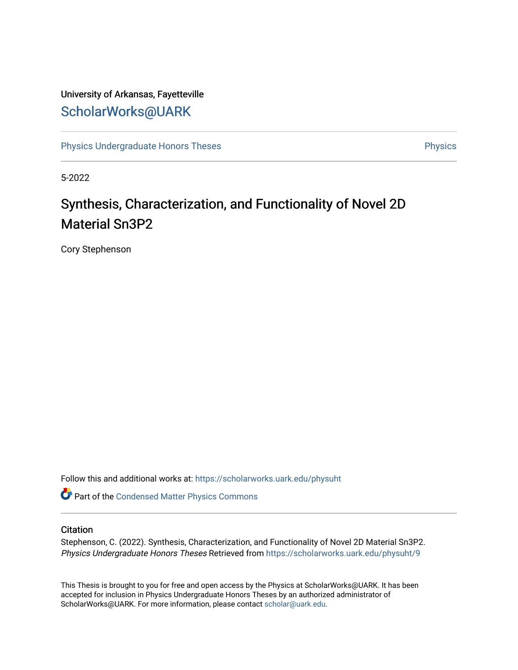## University of Arkansas, Fayetteville [ScholarWorks@UARK](https://scholarworks.uark.edu/)

[Physics Undergraduate Honors Theses](https://scholarworks.uark.edu/physuht) **Physics** [Physics](https://scholarworks.uark.edu/phys) **Physics** 

5-2022

# Synthesis, Characterization, and Functionality of Novel 2D Material Sn3P2

Cory Stephenson

Follow this and additional works at: [https://scholarworks.uark.edu/physuht](https://scholarworks.uark.edu/physuht?utm_source=scholarworks.uark.edu%2Fphysuht%2F9&utm_medium=PDF&utm_campaign=PDFCoverPages) 

Part of the [Condensed Matter Physics Commons](http://network.bepress.com/hgg/discipline/197?utm_source=scholarworks.uark.edu%2Fphysuht%2F9&utm_medium=PDF&utm_campaign=PDFCoverPages) 

#### **Citation**

Stephenson, C. (2022). Synthesis, Characterization, and Functionality of Novel 2D Material Sn3P2. Physics Undergraduate Honors Theses Retrieved from [https://scholarworks.uark.edu/physuht/9](https://scholarworks.uark.edu/physuht/9?utm_source=scholarworks.uark.edu%2Fphysuht%2F9&utm_medium=PDF&utm_campaign=PDFCoverPages) 

This Thesis is brought to you for free and open access by the Physics at ScholarWorks@UARK. It has been accepted for inclusion in Physics Undergraduate Honors Theses by an authorized administrator of ScholarWorks@UARK. For more information, please contact [scholar@uark.edu](mailto:scholar@uark.edu).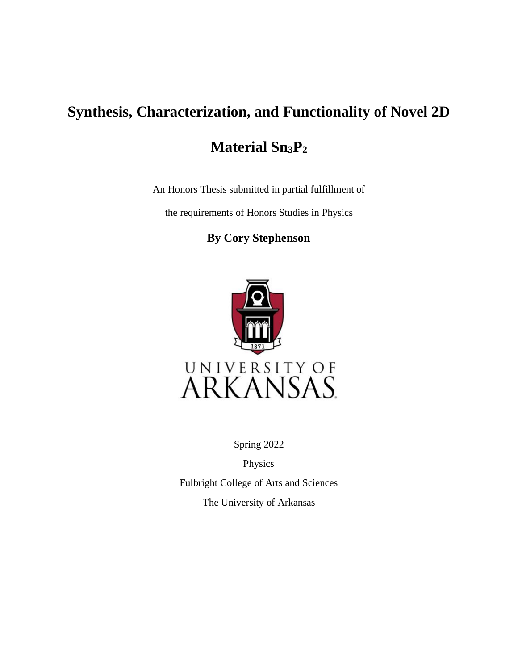# **Synthesis, Characterization, and Functionality of Novel 2D**

# **Material Sn3P<sup>2</sup>**

An Honors Thesis submitted in partial fulfillment of

the requirements of Honors Studies in Physics

## **By Cory Stephenson**



Spring 2022

Physics

Fulbright College of Arts and Sciences The University of Arkansas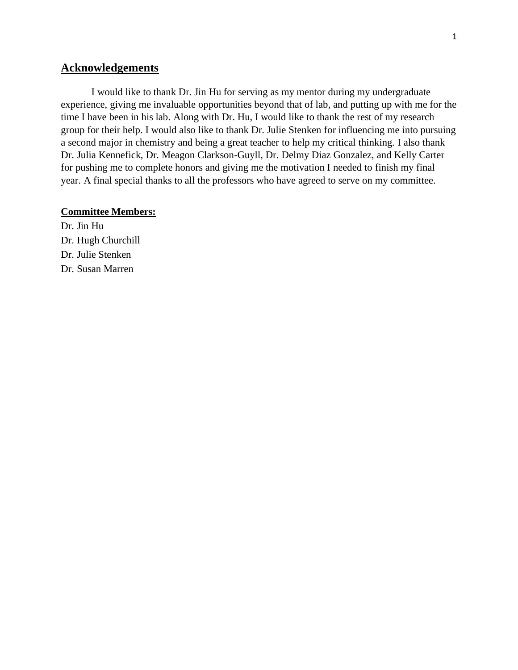### **Acknowledgements**

I would like to thank Dr. Jin Hu for serving as my mentor during my undergraduate experience, giving me invaluable opportunities beyond that of lab, and putting up with me for the time I have been in his lab. Along with Dr. Hu, I would like to thank the rest of my research group for their help. I would also like to thank Dr. Julie Stenken for influencing me into pursuing a second major in chemistry and being a great teacher to help my critical thinking. I also thank Dr. Julia Kennefick, Dr. Meagon Clarkson-Guyll, Dr. Delmy Diaz Gonzalez, and Kelly Carter for pushing me to complete honors and giving me the motivation I needed to finish my final year. A final special thanks to all the professors who have agreed to serve on my committee.

#### **Committee Members:**

Dr. Jin Hu Dr. Hugh Churchill Dr. Julie Stenken Dr. Susan Marren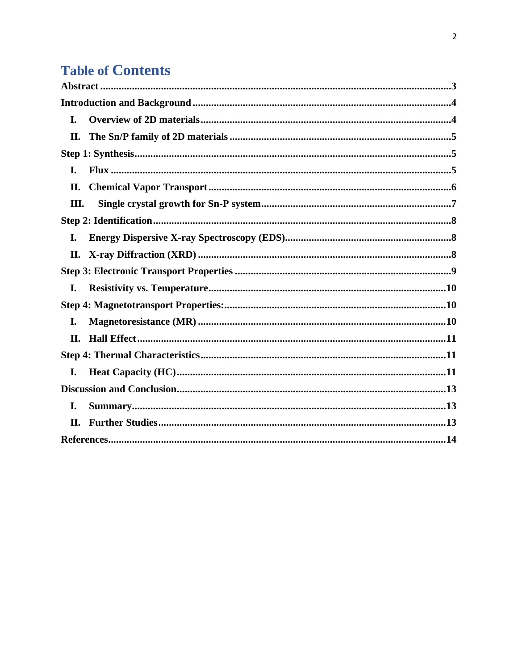# **Table of Contents**

| I.  |  |
|-----|--|
| II. |  |
|     |  |
| I.  |  |
| II. |  |
| Ш.  |  |
|     |  |
| I.  |  |
| П.  |  |
|     |  |
| I.  |  |
|     |  |
| I.  |  |
| II. |  |
|     |  |
| I.  |  |
|     |  |
| I.  |  |
| II. |  |
|     |  |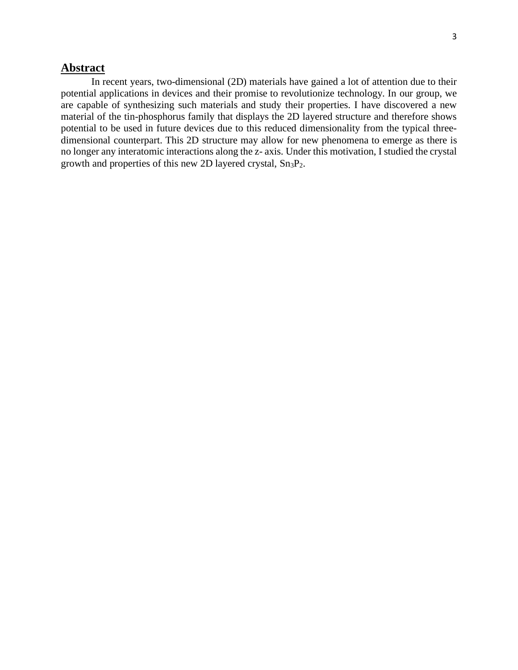### <span id="page-4-0"></span>**Abstract**

In recent years, two-dimensional (2D) materials have gained a lot of attention due to their potential applications in devices and their promise to revolutionize technology. In our group, we are capable of synthesizing such materials and study their properties. I have discovered a new material of the tin-phosphorus family that displays the 2D layered structure and therefore shows potential to be used in future devices due to this reduced dimensionality from the typical threedimensional counterpart. This 2D structure may allow for new phenomena to emerge as there is no longer any interatomic interactions along the z- axis. Under this motivation, I studied the crystal growth and properties of this new 2D layered crystal,  $Sn_3P_2$ .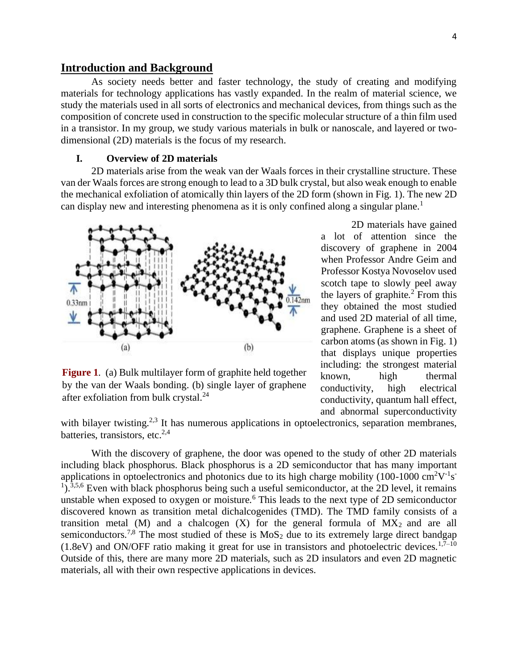#### <span id="page-5-0"></span>**Introduction and Background**

As society needs better and faster technology, the study of creating and modifying materials for technology applications has vastly expanded. In the realm of material science, we study the materials used in all sorts of electronics and mechanical devices, from things such as the composition of concrete used in construction to the specific molecular structure of a thin film used in a transistor. In my group, we study various materials in bulk or nanoscale, and layered or twodimensional (2D) materials is the focus of my research.

#### **I. Overview of 2D materials**

<span id="page-5-1"></span>2D materials arise from the weak van der Waals forces in their crystalline structure. These van der Waals forces are strong enough to lead to a 3D bulk crystal, but also weak enough to enable the mechanical exfoliation of atomically thin layers of the 2D form (shown in Fig. 1). The new 2D can display new and interesting phenomena as it is only confined along a singular plane.<sup>1</sup>



**Figure 1**. (a) Bulk multilayer form of graphite held together by the van der Waals bonding. (b) single layer of graphene after exfoliation from bulk crystal. $^{24}$ 

2D materials have gained a lot of attention since the discovery of graphene in 2004 when Professor Andre Geim and Professor Kostya Novoselov used scotch tape to slowly peel away the layers of graphite. $2$  From this they obtained the most studied and used 2D material of all time, graphene. Graphene is a sheet of carbon atoms (as shown in Fig. 1) that displays unique properties including: the strongest material known, high thermal conductivity, high electrical conductivity, quantum hall effect, and abnormal superconductivity

with bilayer twisting.<sup>2,3</sup> It has numerous applications in optoelectronics, separation membranes, batteries, transistors, etc. $2,4$ 

With the discovery of graphene, the door was opened to the study of other 2D materials including black phosphorus. Black phosphorus is a 2D semiconductor that has many important applications in optoelectronics and photonics due to its high charge mobility (100-1000 cm<sup>2</sup>V<sup>-1</sup>s<sup>-</sup> <sup>1</sup>).<sup>3,5,6</sup> Even with black phosphorus being such a useful semiconductor, at the 2D level, it remains unstable when exposed to oxygen or moisture.<sup>6</sup> This leads to the next type of 2D semiconductor discovered known as transition metal dichalcogenides (TMD). The TMD family consists of a transition metal (M) and a chalcogen  $(X)$  for the general formula of  $MX_2$  and are all semiconductors.<sup>7,8</sup> The most studied of these is  $MoS<sub>2</sub>$  due to its extremely large direct bandgap  $(1.8$ eV) and ON/OFF ratio making it great for use in transistors and photoelectric devices.<sup>1,7–10</sup> Outside of this, there are many more 2D materials, such as 2D insulators and even 2D magnetic materials, all with their own respective applications in devices.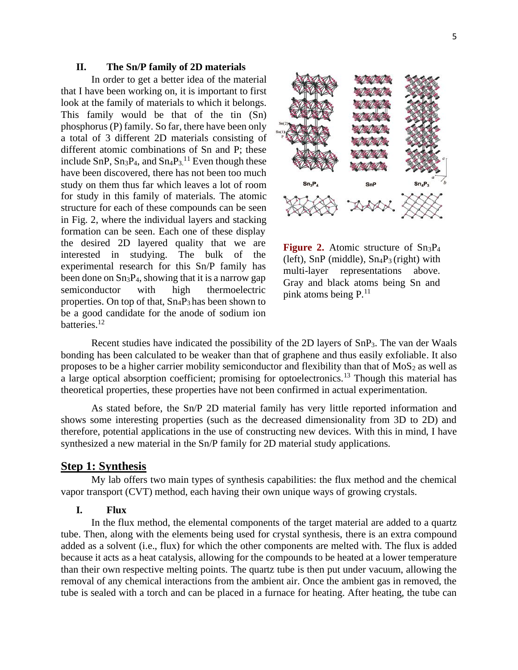#### **II. The Sn/P family of 2D materials**

<span id="page-6-0"></span>In order to get a better idea of the material that I have been working on, it is important to first look at the family of materials to which it belongs. This family would be that of the tin (Sn) phosphorus (P) family. So far, there have been only a total of 3 different 2D materials consisting of different atomic combinations of Sn and P; these include SnP,  $Sn_3P_4$ , and  $Sn_4P_3$ <sup>11</sup> Even though these have been discovered, there has not been too much study on them thus far which leaves a lot of room for study in this family of materials. The atomic structure for each of these compounds can be seen in Fig. 2, where the individual layers and stacking formation can be seen. Each one of these display the desired 2D layered quality that we are interested in studying. The bulk of the experimental research for this Sn/P family has been done on Sn3P4, showing that it is a narrow gap semiconductor with high thermoelectric properties. On top of that,  $Sn_4P_3$  has been shown to be a good candidate for the anode of sodium ion batteries.<sup>12</sup>



**Figure 2.** Atomic structure of Sn<sub>3</sub>P<sub>4</sub> (left),  $SnP$  (middle),  $Sn_4P_3$  (right) with multi-layer representations above. Gray and black atoms being Sn and pink atoms being  $P<sup>11</sup>$ .

Recent studies have indicated the possibility of the 2D layers of SnP3. The van der Waals bonding has been calculated to be weaker than that of graphene and thus easily exfoliable. It also proposes to be a higher carrier mobility semiconductor and flexibility than that of  $MoS<sub>2</sub>$  as well as a large optical absorption coefficient; promising for optoelectronics.<sup>13</sup> Though this material has theoretical properties, these properties have not been confirmed in actual experimentation.

As stated before, the Sn/P 2D material family has very little reported information and shows some interesting properties (such as the decreased dimensionality from 3D to 2D) and therefore, potential applications in the use of constructing new devices. With this in mind, I have synthesized a new material in the Sn/P family for 2D material study applications.

#### <span id="page-6-1"></span>**Step 1: Synthesis**

My lab offers two main types of synthesis capabilities: the flux method and the chemical vapor transport (CVT) method, each having their own unique ways of growing crystals.

#### **I. Flux**

<span id="page-6-2"></span>In the flux method, the elemental components of the target material are added to a quartz tube. Then, along with the elements being used for crystal synthesis, there is an extra compound added as a solvent (i.e., flux) for which the other components are melted with. The flux is added because it acts as a heat catalysis, allowing for the compounds to be heated at a lower temperature than their own respective melting points. The quartz tube is then put under vacuum, allowing the removal of any chemical interactions from the ambient air. Once the ambient gas in removed, the tube is sealed with a torch and can be placed in a furnace for heating. After heating, the tube can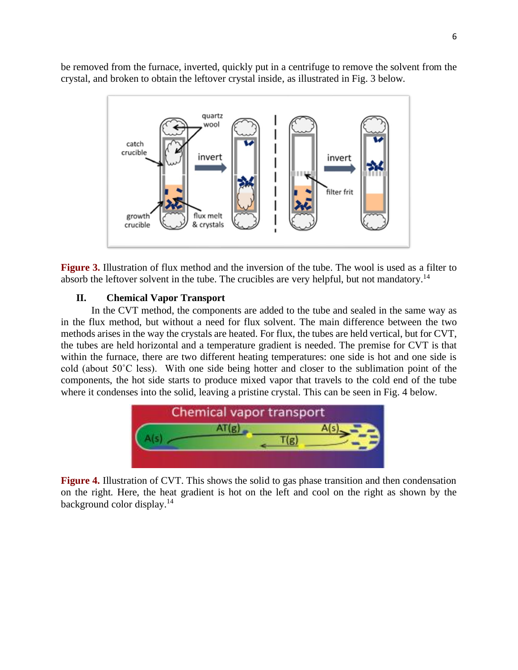be removed from the furnace, inverted, quickly put in a centrifuge to remove the solvent from the crystal, and broken to obtain the leftover crystal inside, as illustrated in Fig. 3 below.



**Figure 3.** Illustration of flux method and the inversion of the tube. The wool is used as a filter to absorb the leftover solvent in the tube. The crucibles are very helpful, but not mandatory.<sup>14</sup>

#### **II. Chemical Vapor Transport**

<span id="page-7-0"></span>In the CVT method, the components are added to the tube and sealed in the same way as in the flux method, but without a need for flux solvent. The main difference between the two methods arises in the way the crystals are heated. For flux, the tubes are held vertical, but for CVT, the tubes are held horizontal and a temperature gradient is needed. The premise for CVT is that within the furnace, there are two different heating temperatures: one side is hot and one side is cold (about 50˚C less). With one side being hotter and closer to the sublimation point of the components, the hot side starts to produce mixed vapor that travels to the cold end of the tube where it condenses into the solid, leaving a pristine crystal. This can be seen in Fig. 4 below.



**Figure 4.** Illustration of CVT. This shows the solid to gas phase transition and then condensation on the right. Here, the heat gradient is hot on the left and cool on the right as shown by the background color display.<sup>14</sup>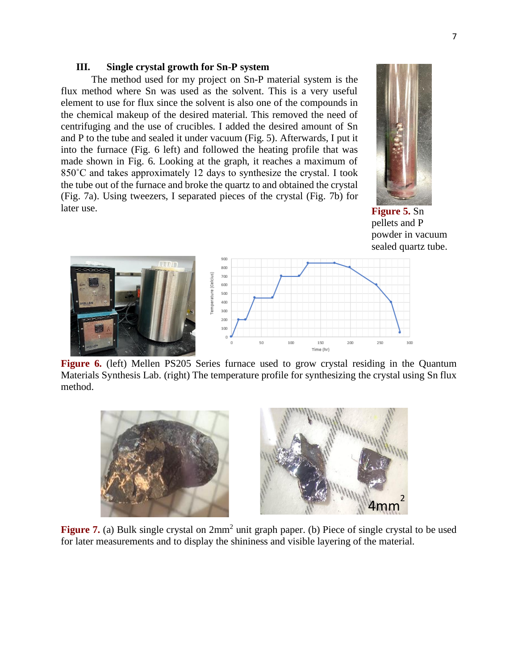#### <span id="page-8-0"></span>**III. Single crystal growth for Sn-P system**

The method used for my project on Sn-P material system is the flux method where Sn was used as the solvent. This is a very useful element to use for flux since the solvent is also one of the compounds in the chemical makeup of the desired material. This removed the need of centrifuging and the use of crucibles. I added the desired amount of Sn and P to the tube and sealed it under vacuum (Fig. 5). Afterwards, I put it into the furnace (Fig. 6 left) and followed the heating profile that was made shown in Fig. 6. Looking at the graph, it reaches a maximum of 850˚C and takes approximately 12 days to synthesize the crystal. I took the tube out of the furnace and broke the quartz to and obtained the crystal (Fig. 7a). Using tweezers, I separated pieces of the crystal (Fig. 7b) for later use.



**Figure 5.** Sn pellets and P powder in vacuum sealed quartz tube.



**Figure 6.** (left) Mellen PS205 Series furnace used to grow crystal residing in the Quantum Materials Synthesis Lab. (right) The temperature profile for synthesizing the crystal using Sn flux method.



Figure 7. (a) Bulk single crystal on  $2mm^2$  unit graph paper. (b) Piece of single crystal to be used for later measurements and to display the shininess and visible layering of the material.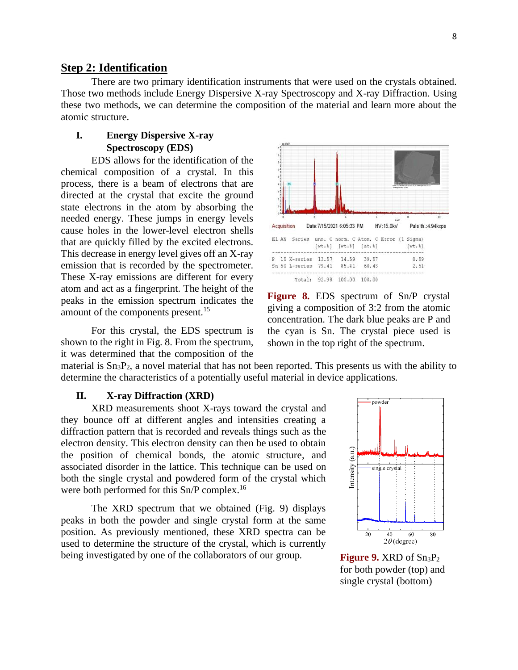#### <span id="page-9-0"></span>**Step 2: Identification**

There are two primary identification instruments that were used on the crystals obtained. Those two methods include Energy Dispersive X-ray Spectroscopy and X-ray Diffraction. Using these two methods, we can determine the composition of the material and learn more about the atomic structure.

#### <span id="page-9-1"></span>**I. Energy Dispersive X-ray Spectroscopy (EDS)**

EDS allows for the identification of the chemical composition of a crystal. In this process, there is a beam of electrons that are directed at the crystal that excite the ground state electrons in the atom by absorbing the needed energy. These jumps in energy levels cause holes in the lower-level electron shells that are quickly filled by the excited electrons. This decrease in energy level gives off an X-ray emission that is recorded by the spectrometer. These X-ray emissions are different for every atom and act as a fingerprint. The height of the peaks in the emission spectrum indicates the amount of the components present.<sup>15</sup>

For this crystal, the EDS spectrum is shown to the right in Fig. 8. From the spectrum, it was determined that the composition of the



**Figure 8.** EDS spectrum of Sn/P crystal giving a composition of 3:2 from the atomic concentration. The dark blue peaks are P and the cyan is Sn. The crystal piece used is shown in the top right of the spectrum.

material is  $Sn<sub>3</sub>P<sub>2</sub>$ , a novel material that has not been reported. This presents us with the ability to determine the characteristics of a potentially useful material in device applications.

#### **II. X-ray Diffraction (XRD)**

<span id="page-9-2"></span>XRD measurements shoot X-rays toward the crystal and they bounce off at different angles and intensities creating a diffraction pattern that is recorded and reveals things such as the electron density. This electron density can then be used to obtain the position of chemical bonds, the atomic structure, and associated disorder in the lattice. This technique can be used on both the single crystal and powdered form of the crystal which were both performed for this Sn/P complex.<sup>16</sup>

The XRD spectrum that we obtained (Fig. 9) displays peaks in both the powder and single crystal form at the same position. As previously mentioned, these XRD spectra can be used to determine the structure of the crystal, which is currently being investigated by one of the collaborators of our group.



**Figure 9.** XRD of  $Sn<sub>3</sub>P<sub>2</sub>$ for both powder (top) and single crystal (bottom)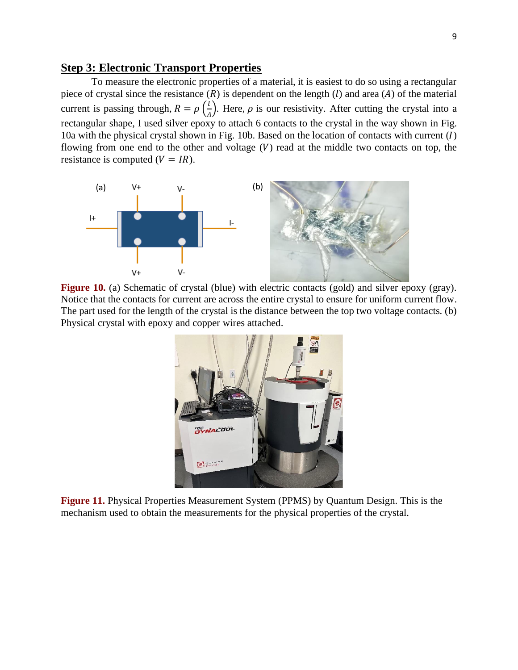#### <span id="page-10-0"></span>**Step 3: Electronic Transport Properties**

To measure the electronic properties of a material, it is easiest to do so using a rectangular piece of crystal since the resistance  $(R)$  is dependent on the length  $(l)$  and area  $(A)$  of the material current is passing through,  $R = \rho \left(\frac{l}{d}\right)$  $\frac{1}{A}$ ). Here,  $\rho$  is our resistivity. After cutting the crystal into a rectangular shape, I used silver epoxy to attach 6 contacts to the crystal in the way shown in Fig. 10a with the physical crystal shown in Fig. 10b. Based on the location of contacts with current  $(I)$ flowing from one end to the other and voltage  $(V)$  read at the middle two contacts on top, the resistance is computed  $(V = IR)$ .



**Figure 10.** (a) Schematic of crystal (blue) with electric contacts (gold) and silver epoxy (gray). Notice that the contacts for current are across the entire crystal to ensure for uniform current flow. The part used for the length of the crystal is the distance between the top two voltage contacts. (b) Physical crystal with epoxy and copper wires attached.



**Figure 11.** Physical Properties Measurement System (PPMS) by Quantum Design. This is the mechanism used to obtain the measurements for the physical properties of the crystal.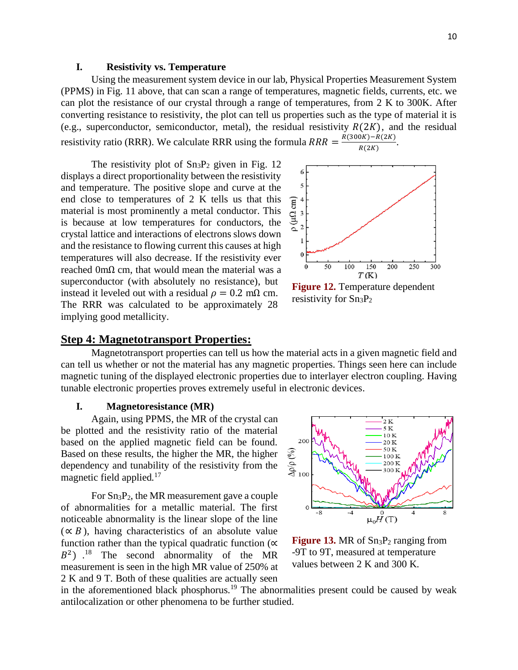#### **I. Resistivity vs. Temperature**

<span id="page-11-0"></span>Using the measurement system device in our lab, Physical Properties Measurement System (PPMS) in Fig. 11 above, that can scan a range of temperatures, magnetic fields, currents, etc. we can plot the resistance of our crystal through a range of temperatures, from 2 K to 300K. After converting resistance to resistivity, the plot can tell us properties such as the type of material it is (e.g., superconductor, semiconductor, metal), the residual resistivity  $R(2K)$ , and the residual resistivity ratio (RRR). We calculate RRR using the formula  $RRR = \frac{R(300K) - R(2K)}{R(2K)}$  $\frac{N(N)-R(ZK)}{R(2K)}$ .

The resistivity plot of  $Sn<sub>3</sub>P<sub>2</sub>$  given in Fig. 12 displays a direct proportionality between the resistivity and temperature. The positive slope and curve at the end close to temperatures of 2 K tells us that this material is most prominently a metal conductor. This is because at low temperatures for conductors, the crystal lattice and interactions of electrons slows down and the resistance to flowing current this causes at high temperatures will also decrease. If the resistivity ever reached 0mΩ cm, that would mean the material was a superconductor (with absolutely no resistance), but instead it leveled out with a residual  $\rho = 0.2$  m $\Omega$  cm. The RRR was calculated to be approximately 28 implying good metallicity.



**Figure 12.** Temperature dependent resistivity for  $Sn<sub>3</sub>P<sub>2</sub>$ 

#### <span id="page-11-1"></span>**Step 4: Magnetotransport Properties:**

Magnetotransport properties can tell us how the material acts in a given magnetic field and can tell us whether or not the material has any magnetic properties. Things seen here can include magnetic tuning of the displayed electronic properties due to interlayer electron coupling. Having tunable electronic properties proves extremely useful in electronic devices.

#### **I. Magnetoresistance (MR)**

<span id="page-11-2"></span>Again, using PPMS, the MR of the crystal can be plotted and the resistivity ratio of the material based on the applied magnetic field can be found. Based on these results, the higher the MR, the higher dependency and tunability of the resistivity from the magnetic field applied.<sup>17</sup>

For Sn3P2, the MR measurement gave a couple of abnormalities for a metallic material. The first noticeable abnormality is the linear slope of the line  $(\propto B)$ , having characteristics of an absolute value function rather than the typical quadratic function ( $\alpha$ )  $B<sup>2</sup>$ ).<sup>18</sup> The second abnormality of the MR measurement is seen in the high MR value of 250% at 2 K and 9 T. Both of these qualities are actually seen



**Figure 13.** MR of  $Sn<sub>3</sub>P<sub>2</sub>$  ranging from -9T to 9T, measured at temperature values between 2 K and 300 K.

in the aforementioned black phosphorus.<sup>19</sup> The abnormalities present could be caused by weak antilocalization or other phenomena to be further studied.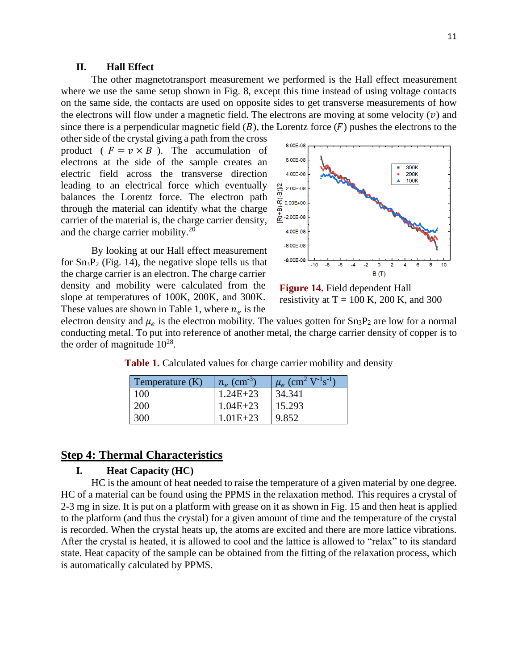#### **II. Hall Effect**

<span id="page-12-0"></span>The other magnetotransport measurement we performed is the Hall effect measurement where we use the same setup shown in Fig. 8, except this time instead of using voltage contacts on the same side, the contacts are used on opposite sides to get transverse measurements of how the electrons will flow under a magnetic field. The electrons are moving at some velocity  $(v)$  and since there is a perpendicular magnetic field  $(B)$ , the Lorentz force  $(F)$  pushes the electrons to the

other side of the crystal giving a path from the cross product ( $F = v \times B$ ). The accumulation of electrons at the side of the sample creates an electric field across the transverse direction leading to an electrical force which eventually balances the Lorentz force. The electron path through the material can identify what the charge carrier of the material is, the charge carrier density, and the charge carrier mobility.<sup>20</sup>

By looking at our Hall effect measurement for  $\text{Sn}_3\text{P}_2$  (Fig. 14), the negative slope tells us that the charge carrier is an electron. The charge carrier density and mobility were calculated from the slope at temperatures of 100K, 200K, and 300K. These values are shown in Table 1, where  $n_e$  is the



**Figure 14.** Field dependent Hall resistivity at  $T = 100$  K, 200 K, and 300

electron density and  $\mu_e$  is the electron mobility. The values gotten for  $Sn_3P_2$  are low for a normal conducting metal. To put into reference of another metal, the charge carrier density of copper is to the order of magnitude  $10^{28}$ .

| Temperature (K) | $n_e$ (cm <sup>-3)</sup> | $\mu_e$ (cm <sup>2</sup> V <sup>-1</sup> s <sup>-1</sup> ) |
|-----------------|--------------------------|------------------------------------------------------------|
| 100             | $1.24E + 23$             | 34.341                                                     |
| 200             | $1.04E + 23$             | 15.293                                                     |
| 300             | $1.01E + 23$             | 9.852                                                      |

**Table 1.** Calculated values for charge carrier mobility and density

#### <span id="page-12-2"></span><span id="page-12-1"></span>**Step 4: Thermal Characteristics**

#### **I. Heat Capacity (HC)**

HC is the amount of heat needed to raise the temperature of a given material by one degree. HC of a material can be found using the PPMS in the relaxation method. This requires a crystal of 2-3 mg in size. It is put on a platform with grease on it as shown in Fig. 15 and then heat is applied to the platform (and thus the crystal) for a given amount of time and the temperature of the crystal is recorded. When the crystal heats up, the atoms are excited and there are more lattice vibrations. After the crystal is heated, it is allowed to cool and the lattice is allowed to "relax" to its standard state. Heat capacity of the sample can be obtained from the fitting of the relaxation process, which is automatically calculated by PPMS.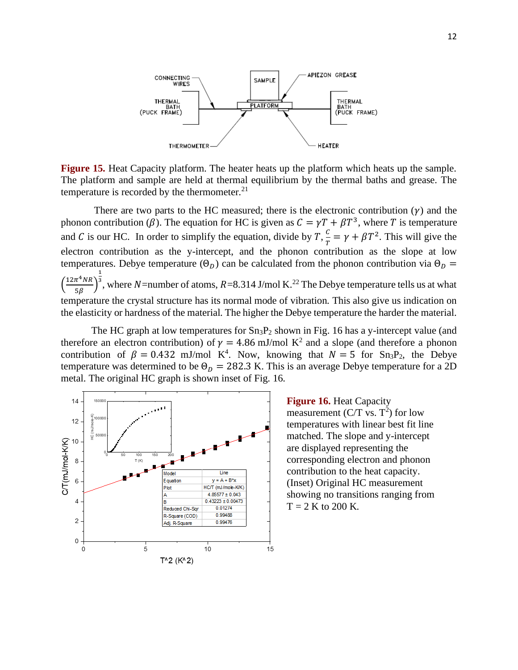

**Figure 15.** Heat Capacity platform. The heater heats up the platform which heats up the sample. The platform and sample are held at thermal equilibrium by the thermal baths and grease. The temperature is recorded by the thermometer. $21$ 

There are two parts to the HC measured; there is the electronic contribution  $(y)$  and the phonon contribution ( $\beta$ ). The equation for HC is given as  $C = \gamma T + \beta T^3$ , where T is temperature and C is our HC. In order to simplify the equation, divide by  $T$ ,  $\frac{C}{T}$  $\frac{c}{T} = \gamma + \beta T^2$ . This will give the electron contribution as the y-intercept, and the phonon contribution as the slope at low temperatures. Debye temperature  $(\Theta_D)$  can be calculated from the phonon contribution via  $\Theta_D$  =  $\left(\frac{12\pi^4NR}{\pi R}\right)$  $\frac{n \ln n}{5\beta}$ 1 <sup>3</sup>, where N=number of atoms,  $R=8.314$  J/mol K.<sup>22</sup> The Debye temperature tells us at what temperature the crystal structure has its normal mode of vibration. This also give us indication on the elasticity or hardness of the material. The higher the Debye temperature the harder the material.

The HC graph at low temperatures for  $Sn_3P_2$  shown in Fig. 16 has a y-intercept value (and therefore an electron contribution) of  $\gamma = 4.86$  mJ/mol K<sup>2</sup> and a slope (and therefore a phonon contribution of  $\beta = 0.432$  mJ/mol K<sup>4</sup>. Now, knowing that  $N = 5$  for Sn<sub>3</sub>P<sub>2</sub>, the Debye temperature was determined to be  $\Theta_D = 282.3$  K. This is an average Debye temperature for a 2D metal. The original HC graph is shown inset of Fig. 16.



**Figure 16.** Heat Capacity measurement (C/T vs.  $T^2$ ) for low temperatures with linear best fit line matched. The slope and y-intercept are displayed representing the corresponding electron and phonon contribution to the heat capacity. (Inset) Original HC measurement showing no transitions ranging from  $T = 2$  K to 200 K.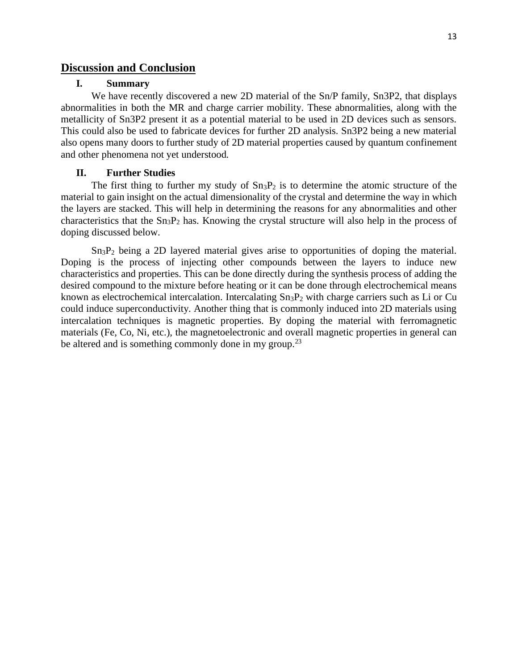#### <span id="page-14-1"></span><span id="page-14-0"></span>**Discussion and Conclusion**

#### **I. Summary**

We have recently discovered a new 2D material of the Sn/P family, Sn3P2, that displays abnormalities in both the MR and charge carrier mobility. These abnormalities, along with the metallicity of Sn3P2 present it as a potential material to be used in 2D devices such as sensors. This could also be used to fabricate devices for further 2D analysis. Sn3P2 being a new material also opens many doors to further study of 2D material properties caused by quantum confinement and other phenomena not yet understood.

#### **II. Further Studies**

<span id="page-14-2"></span>The first thing to further my study of  $Sn_3P_2$  is to determine the atomic structure of the material to gain insight on the actual dimensionality of the crystal and determine the way in which the layers are stacked. This will help in determining the reasons for any abnormalities and other characteristics that the  $Sn<sub>3</sub>P<sub>2</sub>$  has. Knowing the crystal structure will also help in the process of doping discussed below.

Sn3P<sup>2</sup> being a 2D layered material gives arise to opportunities of doping the material. Doping is the process of injecting other compounds between the layers to induce new characteristics and properties. This can be done directly during the synthesis process of adding the desired compound to the mixture before heating or it can be done through electrochemical means known as electrochemical intercalation. Intercalating  $Sn<sub>3</sub>P<sub>2</sub>$  with charge carriers such as Li or Cu could induce superconductivity. Another thing that is commonly induced into 2D materials using intercalation techniques is magnetic properties. By doping the material with ferromagnetic materials (Fe, Co, Ni, etc.), the magnetoelectronic and overall magnetic properties in general can be altered and is something commonly done in my group.<sup>23</sup>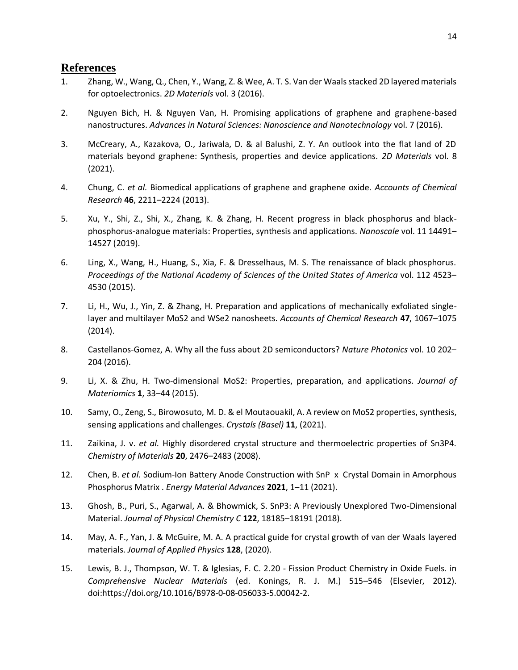#### <span id="page-15-0"></span>**References**

- 1. Zhang, W., Wang, Q., Chen, Y., Wang, Z. & Wee, A. T. S. Van der Waals stacked 2D layered materials for optoelectronics. *2D Materials* vol. 3 (2016).
- 2. Nguyen Bich, H. & Nguyen Van, H. Promising applications of graphene and graphene-based nanostructures. *Advances in Natural Sciences: Nanoscience and Nanotechnology* vol. 7 (2016).
- 3. McCreary, A., Kazakova, O., Jariwala, D. & al Balushi, Z. Y. An outlook into the flat land of 2D materials beyond graphene: Synthesis, properties and device applications. *2D Materials* vol. 8 (2021).
- 4. Chung, C. *et al.* Biomedical applications of graphene and graphene oxide. *Accounts of Chemical Research* **46**, 2211–2224 (2013).
- 5. Xu, Y., Shi, Z., Shi, X., Zhang, K. & Zhang, H. Recent progress in black phosphorus and blackphosphorus-analogue materials: Properties, synthesis and applications. *Nanoscale* vol. 11 14491– 14527 (2019).
- 6. Ling, X., Wang, H., Huang, S., Xia, F. & Dresselhaus, M. S. The renaissance of black phosphorus. *Proceedings of the National Academy of Sciences of the United States of America* vol. 112 4523– 4530 (2015).
- 7. Li, H., Wu, J., Yin, Z. & Zhang, H. Preparation and applications of mechanically exfoliated singlelayer and multilayer MoS2 and WSe2 nanosheets. *Accounts of Chemical Research* **47**, 1067–1075 (2014).
- 8. Castellanos-Gomez, A. Why all the fuss about 2D semiconductors? *Nature Photonics* vol. 10 202– 204 (2016).
- 9. Li, X. & Zhu, H. Two-dimensional MoS2: Properties, preparation, and applications. *Journal of Materiomics* **1**, 33–44 (2015).
- 10. Samy, O., Zeng, S., Birowosuto, M. D. & el Moutaouakil, A. A review on MoS2 properties, synthesis, sensing applications and challenges. *Crystals (Basel)* **11**, (2021).
- 11. Zaikina, J. v. *et al.* Highly disordered crystal structure and thermoelectric properties of Sn3P4. *Chemistry of Materials* **20**, 2476–2483 (2008).
- 12. Chen, B. *et al.* Sodium-Ion Battery Anode Construction with SnP x Crystal Domain in Amorphous Phosphorus Matrix . *Energy Material Advances* **2021**, 1–11 (2021).
- 13. Ghosh, B., Puri, S., Agarwal, A. & Bhowmick, S. SnP3: A Previously Unexplored Two-Dimensional Material. *Journal of Physical Chemistry C* **122**, 18185–18191 (2018).
- 14. May, A. F., Yan, J. & McGuire, M. A. A practical guide for crystal growth of van der Waals layered materials. *Journal of Applied Physics* **128**, (2020).
- 15. Lewis, B. J., Thompson, W. T. & Iglesias, F. C. 2.20 Fission Product Chemistry in Oxide Fuels. in *Comprehensive Nuclear Materials* (ed. Konings, R. J. M.) 515–546 (Elsevier, 2012). doi:https://doi.org/10.1016/B978-0-08-056033-5.00042-2.